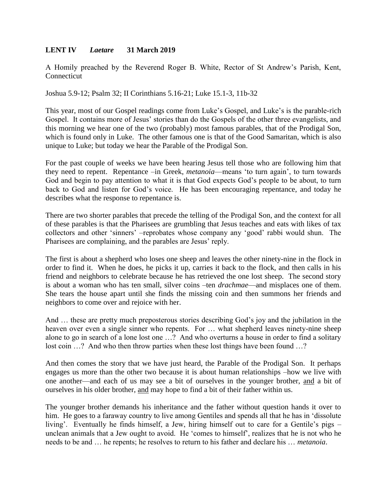## **LENT IV** *Laetare* **31 March 2019**

A Homily preached by the Reverend Roger B. White, Rector of St Andrew's Parish, Kent, Connecticut

Joshua 5.9-12; Psalm 32; II Corinthians 5.16-21; Luke 15.1-3, 11b-32

This year, most of our Gospel readings come from Luke's Gospel, and Luke's is the parable-rich Gospel. It contains more of Jesus' stories than do the Gospels of the other three evangelists, and this morning we hear one of the two (probably) most famous parables, that of the Prodigal Son, which is found only in Luke. The other famous one is that of the Good Samaritan, which is also unique to Luke; but today we hear the Parable of the Prodigal Son.

For the past couple of weeks we have been hearing Jesus tell those who are following him that they need to repent. Repentance –in Greek, *metanoia*—means 'to turn again', to turn towards God and begin to pay attention to what it is that God expects God's people to be about, to turn back to God and listen for God's voice. He has been encouraging repentance, and today he describes what the response to repentance is.

There are two shorter parables that precede the telling of the Prodigal Son, and the context for all of these parables is that the Pharisees are grumbling that Jesus teaches and eats with likes of tax collectors and other 'sinners' –reprobates whose company any 'good' rabbi would shun. The Pharisees are complaining, and the parables are Jesus' reply.

The first is about a shepherd who loses one sheep and leaves the other ninety-nine in the flock in order to find it. When he does, he picks it up, carries it back to the flock, and then calls in his friend and neighbors to celebrate because he has retrieved the one lost sheep. The second story is about a woman who has ten small, silver coins –ten *drachmae*—and misplaces one of them. She tears the house apart until she finds the missing coin and then summons her friends and neighbors to come over and rejoice with her.

And … these are pretty much preposterous stories describing God's joy and the jubilation in the heaven over even a single sinner who repents. For … what shepherd leaves ninety-nine sheep alone to go in search of a lone lost one …? And who overturns a house in order to find a solitary lost coin ...? And who then throw parties when these lost things have been found ...?

And then comes the story that we have just heard, the Parable of the Prodigal Son. It perhaps engages us more than the other two because it is about human relationships –how we live with one another—and each of us may see a bit of ourselves in the younger brother, and a bit of ourselves in his older brother, and may hope to find a bit of their father within us.

The younger brother demands his inheritance and the father without question hands it over to him. He goes to a faraway country to live among Gentiles and spends all that he has in 'dissolute living'. Eventually he finds himself, a Jew, hiring himself out to care for a Gentile's pigs – unclean animals that a Jew ought to avoid. He 'comes to himself', realizes that he is not who he needs to be and … he repents; he resolves to return to his father and declare his … *metanoia*.